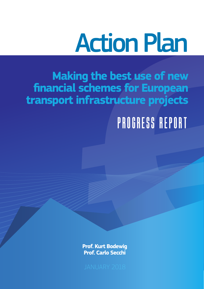### Action Plan

# **Example 18 Schemes for European**<br> **Finantification of European**<br> **Finantification of European**<br> **Finantification of European**<br>
Prof. Kurt Bodewig<br>
Prof. Kurt Bodewig<br>
Prof. Carlo Secchi **Making the best use of new financial schemes for European transport infrastructure projects**

### *Progress Report*

**Prof. Kurt Bodewig Prof. Carlo Secchi**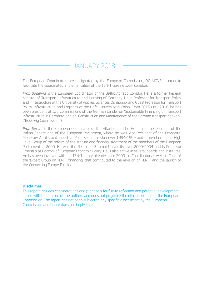### JANUARY 2018

The European Coordinators are designated by the European Commission, DG MOVE, in order to facilitate the coordinated implementation of the TEN-T core network corridors.

*Prof. Bodewig* is the European Coordinator of the Baltic-Adriatic Corridor. He is a former Federal Minister of Transport, Infrastructure and Housing of Germany. He is Professor for Transport Policy and Infrastructure at the University of Applied Sciences Osnabrück and Guest Professor for Transport Policy, Infrastructure and Logistics at the Hefei University in China. From 2013 until 2016, he has been president of two Commissions of the German Länder on 'Sustainable Financing of Transport Infrastructure in Germany' and on 'Construction and Maintenance of the German transport network' ("Bodewig Commission").

*Prof. Secchi* is the European Coordinator of the Atlantic Corridor. He is a former Member of the Italian Senate and of the European Parliament, where he was Vice-President of the Economic, Monetary Affairs and Industrial Politics Commission over 1994-1999 and a member of the High Level Group of the reform of the statute and financial treatment of the members of the European Parliament in 2000. He was the Rector of Bocconi University over 2000-2004 and is Professor Emeritus at Bocconi of European Economic Policy. He is also active in several boards and institutes. He has been involved with the TEN-T policy already since 2009, as Coordinator as well as Chair of the 'Expert Group on TEN-T financing' that contributed to the revision of TEN-T and the launch of the Connecting Europe Facility.

### Disclaimer:

This report includes considerations and proposals for future reflection and potential development in line with the opinion of the authors and does not prejudice the official position of the European Commission. The report has not been subject to any specific assessment by the European Commission and hence does not imply its support.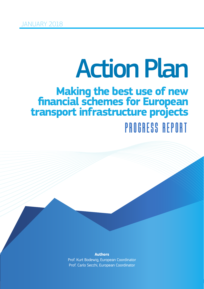## Action Plan

# **Example 18 Action Plan**<br>
Final schemes for European<br>
Diffusion Plans<br>
PMUHES HPUH<br>
Prof Kut Bodew<sub>s European</sub><br>
Prof Kut Bodew<sub>s European</sub> Coodmate *Progress Report* **Making the best use of new financial schemes for European transport infrastructure projects**

**Authors** Prof. Kurt Bodewig, European Coordinator Prof. Carlo Secchi, European Coordinator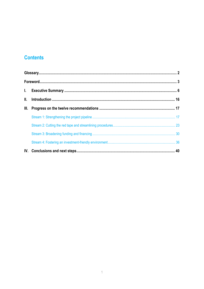### **Contents**

| III. |  |
|------|--|
|      |  |
|      |  |
|      |  |
|      |  |
|      |  |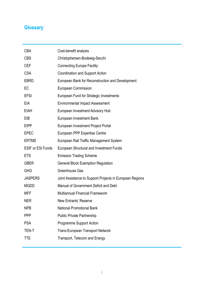### **Glossary**

| <b>CBA</b>               | Cost-benefit analysis                                    |
|--------------------------|----------------------------------------------------------|
| <b>CBS</b>               | Christophersen-Bodewig-Secchi                            |
| <b>CEF</b>               | <b>Connecting Europe Facility</b>                        |
| <b>CSA</b>               | Coordination and Support Action                          |
| <b>EBRD</b>              | European Bank for Reconstruction and Development         |
| EC                       | <b>European Commission</b>                               |
| <b>EFSI</b>              | European Fund for Strategic Investments                  |
| EIA                      | <b>Environmental Impact Assessment</b>                   |
| <b>EIAH</b>              | European Investment Advisory Hub                         |
| EIB                      | European Investment Bank                                 |
| <b>EIPP</b>              | European Investment Project Portal                       |
| <b>EPEC</b>              | European PPP Expertise Centre                            |
| <b>ERTMS</b>             | European Rail Traffic Management System                  |
| <b>ESIF or ESI Funds</b> | European Structural and Investment Funds                 |
| <b>ETS</b>               | <b>Emission Trading Scheme</b>                           |
| <b>GBER</b>              | <b>General Block Exemption Regulation</b>                |
| <b>GHG</b>               | Greenhouse Gas                                           |
| <b>JASPERS</b>           | Joint Assistance to Support Projects in European Regions |
| <b>MGDD</b>              | Manual of Government Deficit and Debt                    |
| MFF                      | <b>Multiannual Financial Framework</b>                   |
| NER                      | New Entrants' Reserve                                    |
| <b>NPB</b>               | <b>National Promotional Bank</b>                         |
| <b>PPP</b>               | <b>Public Private Partnership</b>                        |
| <b>PSA</b>               | <b>Programme Support Action</b>                          |
| TEN-T                    | <b>Trans-European Transport Network</b>                  |
| TTE                      | Transport, Telecom and Energy                            |
|                          |                                                          |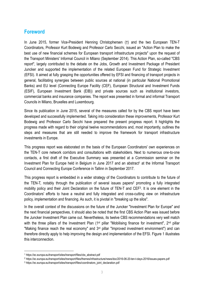### **Foreword**

In June 2015, former Vice-President Henning Christophersen (†) and the two European TEN-T Coordinators, Professor Kurt Bodewig and Professor Carlo Secchi, issued an "Action Plan to make the best use of new financial schemes for European transport infrastructure projects" upon the request of the Transport Ministers' Informal Council in Milano (September 2014). This Action Plan, so-called "CBS report", largely contributed to the debate on the Jobs, Growth and Investment Package of President Juncker and supported the implementation of the related European Fund for Strategic Investment (EFSI). It aimed at fully grasping the opportunities offered by EFSI and financing of transport projects in general, facilitating synergies between public sources at national (in particular National Promotional Banks) and EU level (Connecting Europe Facility (CEF), European Structural and Investment Funds (ESIF), European Investment Bank (EIB)) and private sources such as institutional investors, commercial banks and insurance companies. The report was presented in formal and informal Transport Councils in Milano, Bruxelles and Luxembourg.

Since its publication in June 2015, several of the measures called for by the CBS report have been developed and successfully implemented. Taking into consideration these improvements, Professor Kurt Bodewig and Professor Carlo Secchi have prepared the present progress report. It highlights the progress made with regard to their original twelve recommendations and, most importantly, outlines the steps and measures that are still needed to improve the framework for transport infrastructure investments in Europe.

This progress report was elaborated on the basis of the European Coordinators' own experiences on the TEN-T core network corridors and consultations with stakeholders. Next to numerous one-to-one contacts, a first draft of the Executive Summary was presented at a Commission seminar on the Investment Plan for Europe held in Belgium in June 2017 and an abstract<sup>1</sup> at the Informal Transport Council and Connecting Europe Conference in Tallinn in September 2017.

This progress report is embedded in a wider strategy of the Coordinators to contribute to the future of the TEN-T, notably through the publication of several issues papers<sup>2</sup> promoting a fully integrated mobility policy and their Joint Declaration on the future of TEN-T and CEF3. It is one element in the Coordinators' efforts to have a neutral and fully integrated and cross-cutting view on infrastructure policy, implementation and financing. As such, it is pivotal in "breaking up the silos".

In the overall context of the discussions on the future of the Juncker "Investment Plan for Europe" and the next financial perspectives, it should also be noted that the first CBS Action Plan was issued before the Juncker Investment Plan came out. Nevertheless, its twelve CBS recommendations very well match with the three pillars of the Investment Plan (1<sup>st</sup> pillar "Mobilising finance for investment", 2<sup>nd</sup> pillar "Making finance reach the real economy" and 3<sup>rd</sup> pillar "Improved investment environment") and can therefore directly apply to help improving the design and implementation of the EFSI. Figure 1 illustrates this interconnection.

1

<sup>1</sup> https://ec.europa.eu/transport/sites/transport/files/cbs\_abstract.pdf

<sup>2</sup> https://ec.europa.eu/transport/sites/transport/files/themes/infrastructure/news/doc/2016-06-20-ten-t-days-2016/issues-papers.pdf

<sup>3</sup> https://ec.europa.eu/transport/sites/transport/files/coordinators\_joint\_declaration.pdf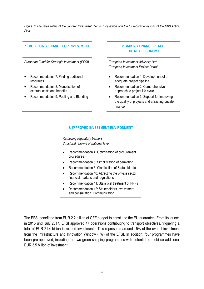*Figure 1: The three pillars of the Juncker Investment Plan in conjunction with the 12 recommendations of the CBS Action Plan* 

### **1. MOBILISING FINANCE FOR INVESTMENT 2. MAKING FINANCE REACH**

*European Fund for Strategic Investment (EFSI) European Investment Advisory Hub* 

- Recommendation 7: Finding additional resources
- Recommendation 8: Monetisation of external costs and benefits
- Recommendation 9: Pooling and Blending

### **THE REAL ECONOMY**

*European Investment Project Portal*

- Recommendation 1: Development of an adequate project pipeline
- Recommendation 2: Comprehensive approach to project life cycle
- Recommendation 3: Support for improving the quality of projects and attracting private finance

### **3. IMPROVED INVESTMENT ENVIRONMENT**

*Removing regulatory barriers Structural reforms at national level* 

- Recommendation 4: Optimisation of procurement procedures
- Recommendation 5: Simplification of permitting
- Recommendation 6: Clarification of State aid rules
- Recommendation 10: Attracting the private sector: financial markets and regulations
- Recommendation 11: Statistical treatment of PPPs
- Recommendation 12: Stakeholders involvement and consultation. Communication.

The EFSI benefitted from EUR 2.2 billion of CEF budget to constitute the EU guarantee. From its launch in 2015 until July 2017, EFSI approved 47 operations contributing to transport objectives, triggering a total of EUR 21.4 billion in related investments. This represents around 15% of the overall investment from the Infrastructure and Innovation Window (IIW) of the EFSI. In addition, four programmes have been pre-approved, including the two green shipping programmes with potential to mobilise additional EUR 3.5 billion of investment.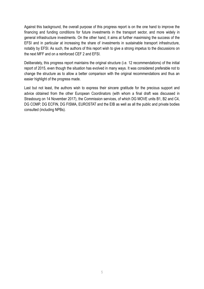Against this background, the overall purpose of this progress report is on the one hand to improve the financing and funding conditions for future investments in the transport sector, and more widely in general infrastructure investments. On the other hand, it aims at further maximising the success of the EFSI and in particular at increasing the share of investments in sustainable transport infrastructure, notably by EFSI. As such, the authors of this report wish to give a strong impetus to the discussions on the next MFF and on a reinforced CEF 2 and EFSI.

Deliberately, this progress report maintains the original structure (i.e. 12 recommendations) of the initial report of 2015, even though the situation has evolved in many ways. It was considered preferable not to change the structure as to allow a better comparison with the original recommendations and thus an easier highlight of the progress made.

Last but not least, the authors wish to express their sincere gratitude for the precious support and advice obtained from the other European Coordinators (with whom a final draft was discussed in Strasbourg on 14 November 2017), the Commission services, of which DG MOVE units B1, B2 and C4, DG COMP, DG ECFIN, DG FISMA, EUROSTAT and the EIB as well as all the public and private bodies consulted (including NPBs).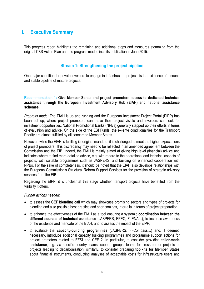### **I. Executive Summary**

This progress report highlights the remaining and additional steps and measures stemming from the original CBS Action Plan and the progress made since its publication in June 2015.

### **Stream 1: Strengthening the project pipeline**

One major condition for private investors to engage in infrastructure projects is the existence of a sound and stable pipeline of mature projects.

### **Recommendation 1: Give Member States and project promoters access to dedicated technical assistance through the European Investment Advisory Hub (EIAH) and national assistance schemes.**

*Progress made:* The EIAH is up and running and the European Investment Project Portal (EIPP) has been set up, where project promoters can make their project visible and investors can look for investment opportunities. National Promotional Banks (NPBs) generally stepped up their efforts in terms of evaluation and advice. On the side of the ESI Funds, the ex-ante conditionalities for the Transport Priority are almost fulfilled by all concerned Member States.

However, while the EIAH is fulfilling its original mandate, it is challenged to meet the higher expectations of project promoters. This discrepancy may need to be reflected in an amended agreement between the Commission and the EIB. Indeed, the EIAH is mainly aimed at giving high level (financial) advice and indicates where to find more detailed advice, e.g. with regard to the operational and technical aspects of projects, with suitable programmes such as JASPERS, and building on enhanced cooperation with NPBs. For the sake of completeness, it should be noted that the EIAH also develops relationships with the European Commission's Structural Reform Support Services for the provision of strategic advisory services from the EIB.

Regarding the EIPP, it is unclear at this stage whether transport projects have benefited from the visibility it offers.

- to assess the **CEF blending call** which may showcase promising sectors and types of projects for blending and also possible best practice and shortcomings, inter-alia in terms of project preparation;
- to enhance the effectiveness of the EIAH as a tool ensuring a systemic **coordination between the different sources of technical assistance** (JASPERS, EPEC, ELENA…); to increase awareness of the existence and mandate of the EIAH, and to assess the impact of the EIPP;
- to evaluate the **capacity-building programmes** (JASPERS, Fi-Compass…) and, if deemed necessary, introduce additional capacity building programmes and programme support actions for project promoters related to EFSI and CEF 2. In particular, to consider providing **tailor-made assistance**, e.g. via specific country teams, support groups, teams for cross-border projects or projects leading to decarbonisation; similarly, to consider preparing **toolkits for Member States** about financial instruments, conducting analyses of acceptable costs for infrastructure users and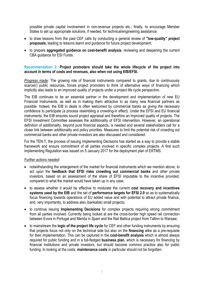possible private capital involvement in non-revenue projects etc.; finally, to encourage Member States to set up appropriate solutions, if needed, for technical/engineering assistance;

- to draw lessons from the past CEF calls by conducting a general review of **"low-quality" project proposals,** leading to lessons learnt and guidance for future project development;
- to prepare **aggregated guidance on cost-benefit analysis**, reviewing and deepening the current CBA guidance for ESI Funds.

### **Recommendation 2: Project promoters should take the whole lifecycle of the project into account in terms of costs and revenues, also when not using EIB/EFSI.**

*Progress made:* The growing role of financial instruments compared to grants, due to continuously scarce(r) public resources, forces project promoters to think of alternative ways of financing which implicitly also leads to an improved quality of projects under a project life cycle perspective.

The EIB continues to be an essential partner in the development and implementation of new EU Financial Instruments, as well as in making them attractive to as many new financial partners as possible. Indeed, the EIB in deals is often welcomed by commercial banks as giving the necessary confidence to participate (a process resembling a crowding-in effect). Under the EFSI and EU financial instruments, the EIB ensures sound project appraisal and therefore an improved quality of projects. The EFSI Investment Committee assesses the additionality of EFSI intervention. However, an operational definition of additionality, beyond pure financial aspects, is needed and several stakeholders call for a closer link between additionality and policy priorities. Measures to limit the potential risk of crowding out commercial banks and other private investors are also discussed and considered.

For the TEN-T, the process of issuing Implementing Decisions has started as a way to provide a stable framework and ensure commitment of all parties involved in specific complex projects. A first such Implementing Regulation was issued on 5 January 2017 for the deployment plan of ERTMS.

- notwithstanding the enlargement of the market for financial instruments which we mention above, to act upon the **feedback that EFSI risks crowding out commercial banks** and other private investors, based on an assessment of the share of EFSI imputable to the incentive provided, compared to what the market would have taken up in any case;
- to assess whether it would be effective to modulate the current **cost recovery and incentives systems used by the EIB** and the set of **performance targets for EFSI 2.0** so as to systematically focus financing towards operations of EU added value and with potential to attract private finance, and, very importantly, to address also (bankable) small projects;
- to continue issuing **Implementing Decisions** for complex projects requiring strong commitment from all parties involved. Currently being looked at are the cross-border high speed rail connection between Evora in Portugal and Merida in Spain and the Rail Baltica project from Tallinn to Warsaw;
- to mainstream the **logic of the project life cycle** for CEF and other funding instruments by ensuring that projects focus not only on the technical side but also on the **financing** alike as a pre-requisite for their implementation. This can be captured in the **cost-benefit analysis** which is almost always required for public funding and in a full-fledged **business plan**, which is necessary for financing by financial institutions and private investors, but should become common practice also for public funding. In looking at the costs, **maintenance costs** in particular should not be forgotten;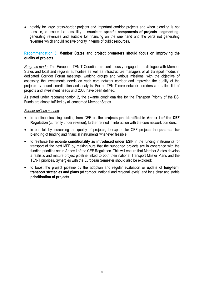• notably for large cross-border projects and important corridor projects and when blending is not possible, to assess the possibility to **enucleate specific components of projects (segmenting)**  generating revenues and suitable for financing on the one hand and the parts not generating revenues which should receive priority in terms of public resources.

### **Recommendation 3: Member States and project promoters should focus on improving the quality of projects.**

*Progress made:* The European TEN-T Coordinators continuously engaged in a dialogue with Member States and local and regional authorities as well as infrastructure managers of all transport modes in dedicated Corridor Forum meetings, working groups and various missions, with the objective of assessing the investments needs on each core network corridor and improving the quality of the projects by sound coordination and analysis. For all TEN-T core network corridors a detailed list of projects and investment needs until 2030 have been defined.

As stated under recommendation 2, the ex-ante conditionalities for the Transport Priority of the ESI Funds are almost fulfilled by all concerned Member States.

- to continue focusing funding from CEF on the **projects pre-identified in Annex I of the CEF Regulation** (currently under revision), further refined in interaction with the core network corridors;
- in parallel, by increasing the quality of projects, to expand for CEF projects the **potential for blending** of funding and financial instruments whenever feasible;
- to reinforce the **ex-ante conditionality as introduced under ESIF** in the funding instruments for transport of the next MFF by making sure that the supported projects are in coherence with the funding priorities set in Annex I of the CEF Regulation. This will ensure that Member States develop a realistic and mature project pipeline linked to both their national Transport Master Plans and the TEN-T priorities. Synergies with the European Semester should also be explored;
- to boost the project pipeline by the adoption and regular evaluation or update of **long-term transport strategies and plans** (at corridor, national and regional levels) and by a clear and stable **prioritisation of projects**.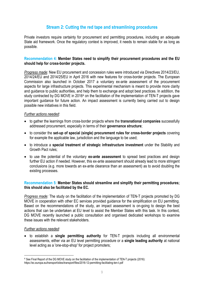### **Stream 2: Cutting the red tape and streamlining procedures**

Private investors require certainty for procurement and permitting procedures, including an adequate State aid framework. Once the regulatory context is improved, it needs to remain stable for as long as possible.

### **Recommendation 4: Member States need to simplify their procurement procedures and the EU should help for cross-border projects.**

*Progress made:* New EU procurement and concession rules were introduced via Directives 2014/23/EU, 2014/24/EU and 2014/25/EU in April 2016 with new features for cross-border projects. The European Commission also launched in October 2017 a voluntary ex-ante assessment of the procurement aspects for large infrastructure projects. This experimental mechanism is meant to provide more clarity and guidance to public authorities, and help them to exchange and adopt best practices. In addition, the study contracted by DG MOVE in 2016<sup>4</sup> on the facilitation of the implementation of TEN-T projects gave important guidance for future action. An impact assessment is currently being carried out to design possible new initiatives in this field.

### *Further actions needed:*

- to gather the learnings from cross-border projects where the **transnational companies** successfully addressed procurement, especially in terms of their **governance structure**;
- to consider the **set-up of special (single) procurement rules for cross-border projects** covering for example the applicable law, jurisdiction and the language to be used;
- to introduce a **special treatment of strategic infrastructure investment** under the Stability and Growth Pact rules;
- to use the potential of the voluntary **ex-ante assessment** to spread best practices and design further EU action if needed. However, this ex-ante assessment should already lead to more stringent conclusions (e.g. more towards an ex-ante clearance than an assessment) as to avoid doubling the existing processes.

### **Recommendation 5: Member States should streamline and simplify their permitting procedures; this should also be facilitated by the EC.**

*Progress made:* The study on the facilitation of the implementation of TEN-T projects promoted by DG MOVE in cooperation with other EC services provided guidance for the simplification on EU permitting. Based on the recommendations of the study, an impact assessment is on-going to design the best actions that can be undertaken at EU level to assist the Member States with this task. In this context, DG MOVE recently launched a public consultation and organised dedicated workshops to examine these issues with the relevant stakeholders.

### *Further actions needed:*

**.** 

• to establish a **single permitting authority** for TEN-T projects including all environmental assessments, either via an EU level permitting procedure or a **single leading authority** at national level acting as a 'one-stop-shop' for project promoters;

<sup>4</sup> See Final Report of the DG MOVE study on the facilitation of the implementation of TEN-T projects (2016): https://ec.europa.eu/transport/sites/transport/files/2016-12-permitting-facilitating-ten-t.pdf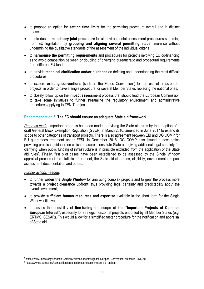- to propose an option for **setting time limits** for the permitting procedure overall and in distinct phases;
- to introduce a **mandatory joint procedure** for all environmental assessment procedures stemming from EU legislation, by **grouping and aligning several permitting steps** time-wise without undermining the qualitative standards of the assessment of the individual criteria;
- to **harmonise the permitting requirements** and procedures for projects involving EU co-financing as to avoid competition between or doubling of diverging bureaucratic and procedural requirements from different EU funds;
- to provide **technical clarification and/or guidance** on defining and understanding the most difficult procedures;
- to explore **existing conventions** (such as the Espoo Convention5) for the use of cross-border projects, in order to have a single procedure for several Member States replacing the national ones;
- to closely follow up on the **impact assessment** process that should lead the European Commission to take some initiatives to further streamline the regulatory environment and administrative procedures applying to TEN-T projects.

### **Recommendation 6: The EC should ensure an adequate State aid framework.**

*Progress made:* Important progress has been made in revising the State aid rules by the adoption of a draft General Block Exemption Regulation (GBER) in March 2016, amended in June 2017 to extend its scope to other categories of transport projects. There is also agreement between EIB and DG COMP for EU guarantees treatment under EFSI. In December 2016, DG COMP also issued a new notice providing practical guidance on which measures constitute State aid, giving additional legal certainty for clarifying when public funding of infrastructure is in principle excluded from the application of the State aid rules<sup>6</sup>. Finally, first pilot cases have been established to be assessed by the Single Window appraisal process of the statistical treatment, the State aid clearance, eligibility, environmental impact assessment documentation and others.

### *Further actions needed:*

**.** 

- to further **widen the Single Window** for analysing complex projects and to gear the process more towards a **project clearance upfront**, thus providing legal certainty and predictability about the overall investment;
- to provide **sufficient human resources and expertise** available in the short term for the Single Window initiative:
- to assess the possibility of **fine-tuning the scope of the "Important Projects of Common European Interest"**, especially for strategic horizontal projects endorsed by all Member States (e.g. ERTMS, SESAR). This would allow for a simplified faster procedure for the notification and appraisal of State aid.

<sup>5</sup> https://www.unece.org/fileadmin/DAM/env/eia/documents/legaltexts/Espoo\_Convention\_authentic\_ENG.pdf

<sup>6</sup> http://www.ec.europa.eu/competition/state\_aid/modernisation/notice\_aid\_en.html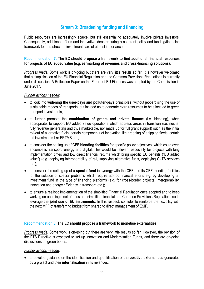### **Stream 3: Broadening funding and financing**

Public resources are increasingly scarce, but still essential to adequately involve private investors. Consequently, additional efforts and innovative ideas ensuring a coherent policy and funding/financing framework for infrastructure investments are of utmost importance.

### **Recommendation 7: The EC should propose a framework to find additional financial resources for projects of EU added value (e.g. earmarking of revenues and cross-financing solutions).**

*Progress made:* Some work is on-going but there are very little results so far. It is however welcomed that a simplification of the EU Financial Regulation and the Common Provisions Regulations is currently under discussion. A Reflection Paper on the Future of EU Finances was adopted by the Commission in June 2017.

### *Further actions needed:*

- to look into **widening the user-pays and polluter-pays principles**, without jeopardising the use of sustainable modes of transports, but instead as to generate extra resources to be allocated to green transport investments;
- to further promote the **combination of grants and private finance** (i.e. blending), when appropriate, to support EU added value operations which address areas in transition (i.e. neither fully revenue generating and thus marketable, nor made up for full grant support) such as the initial roll-out of alternative fuels, certain components of innovation like greening of shipping fleets, certain rail investments like ERTMS etc.;
- to consider the setting up of **CEF blending facilities** for specific policy objectives, which could even encompass transport, energy and digital. This would be relevant especially for projects with long implementation times and low direct financial returns which bring specific EU benefits ("EU added value") (e.g. deploying interoperability of rail, supplying alternative fuels, deploying C-ITS services etc.);
- to consider the setting up of a **special fund** in synergy with the CEF and its CEF blending facilities for the solution of special problems which require ad-hoc financial efforts e.g. by developing an investment fund in the type of financing platforms (e.g. for cross-border projects, interoperability, innovation and energy efficiency in transport, etc.);
- to ensure a realistic implementation of the simplified Financial Regulation once adopted and to keep working on one single set of rules and simplified financial and Common Provisions Regulations so to leverage the **joint use of EU instruments**. In this respect, consider to reinforce the flexibility with the next MFF of transferring budget from shared to direct management of ESIF.

### **Recommendation 8: The EC should propose a framework to monetise externalities.**

*Progress made:* Some work is on-going but there are very little results so far. However, the revision of the ETS Directive is expected to set up Innovation and Modernisation Funds, and there are on-going discussions on green bonds.

### *Further actions needed:*

• to develop guidance on the identification and quantification of the **positive externalities** generated by a project and their **internalisation** in its revenues;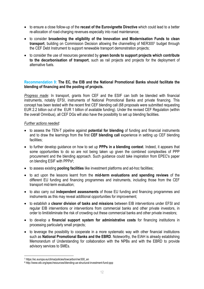- to ensure a close follow-up of the **recast of the Eurovignette Directive** which could lead to a better re-allocation of road-charging revenues especially into road maintenance;
- to consider **broadening the eligibility of the Innovation and Modernisation Funds to clean transport**, building on Commission Decision allowing the channelling of NER3007 budget through the CEF Debt Instrument to support renewable transport demonstration projects;
- to consider the use of resources generated by **green bonds to support projects which contribute to the decarbonisation of transport**, such as rail projects and projects for the deployment of alternative fuels.

### **Recommendation 9: The EC, the EIB and the National Promotional Banks should facilitate the blending of financing and the pooling of projects.**

*Progress made:* In transport, grants from CEF and the ESIF can both be blended with financial instruments, notably EFSI, instruments of National Promotional Banks and private financing. This concept has been tested with the recent first CEF blending call (68 proposals were submitted requesting EUR 2.2 billion out of the EUR 1 billion of available funding). Under the revised CEF Regulation (within the overall Omnibus), all CEF DGs will also have the possibility to set up blending facilities.

- to assess the TEN-T pipeline against **potential for blending** of funding and financial instruments and to draw the learnings from the first **CEF blending call** experience in setting up CEF blending facilities;
- to further develop guidance on how to set up **PPPs in a blending context**. Indeed, it appears that some opportunities to do so are not being taken up given the combined complexities of PPP procurement and the blending approach. Such guidance could take inspiration from EPEC's paper on blending ESIF with PPPs<sup>8</sup>:
- to assess existing **pooling facilities** like investment platforms and ad-hoc facilities;
- to act upon the lessons learnt from the **mid-term evaluations and spending reviews** of the different EU funding and financing programmes and instruments, including those from the CEF transport mid-term evaluation;
- to also carry out **independent assessments** of those EU funding and financing programmes and instruments as this may reveal additional opportunities for improvement;
- to establish a **clearer division of tasks and missions** between EIB interventions under EFSI and regular EIB interventions or interventions from commercial banks and other private investors, in order to limit/eliminate the risk of crowding out these commercial banks and other private investors;
- to develop a **financial support system for administrative costs** for financing institutions in processing particularly small projects;
- to leverage the possibility to cooperate in a more systematic way with other financial institutions such as **National Promotional Banks and the EBRD**. Noteworthy, the EIAH is already establishing Memorandum of Understanding for collaboration with the NPBs and with the EBRD to provide advisory services to SMEs.

<sup>1</sup> 7 https://ec.europa.eu/clima/policies/lowcarbon/ner300\_en

<sup>8</sup> http://www.eib.org/epec/resources/blending-ue-structural-investment-fund-ppp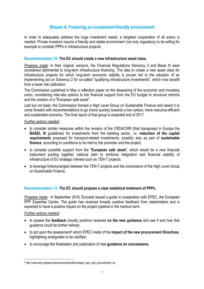### **Stream 4: Fostering an investment-friendly environment**

In order to adequately address the huge investment needs, a targeted cooperation of all actors is needed. Private investors require a friendly and stable environment (not only regulatory) to be willing for example to consider PPPs in infrastructure projects.

### **Recommendation 10: The EC should create a new infrastructure asset class.**

*Progress made:* In their original versions, the Financial Regulations Solvency 2 and Basel III were considered detrimental to long-term infrastructure financing. The idea to create a new asset class for infrastructure projects for which long-term economic viability is proven led to the adoption of an implementing act on Solvency 2 for so-called "qualifying infrastructure investments", which now benefit from a lower risk calibration.

The Commission published in May a reflection paper on the deepening of the economic and monetary union, considering inter-alia options to link financial support from the EU budget to structural reforms and the creation of a "European safe asset".

Last but not least, the Commission formed a High Level Group on Sustainable Finance and asked it to come forward with recommendations to go (more quickly) towards a low carbon, more resource-efficient and sustainable economy. The final report of that group is expected end of 2017.

### *Further actions needed:*

- to consider similar measures within the revision of the CRD4/CRR (that transposed in Europe the **BASEL III** guidelines) for investments from the banking sector, i.e. **reduction of the capital requirements** proposed for transport-related investments, possibly also as part of **sustainable finance**, according to conditions to be met by the promoter and the project:
- to consider possible support from the "**European safe asset**", which would be a new financial instrument pooling together national debt to reinforce integration and financial stability of infrastructure of EU strategic interest such as TEN-T projects.
- to leverage links/synergies between the TEN-T projects and the conclusions of the High Level Group on Sustainable Finance.

### **Recommendation 11: The EC should propose a clear statistical treatment of PPPs.**

*Progress made:* In September 2016, Eurostat issued a guide in cooperation with EPEC, the European PPP Expertise Centre. The quide has received broadly positive feedback from stakeholders and is expected to have a positive impact on the project pipeline in the medium term.

### *Further actions needed:*

**.** 

- to assess the **feedback** (mostly positive) received **on the new guidance** and see if and how that guidance could be further refined;
- to act upon the assessment9 which EPEC made of the **impact of the new procurement Directives**, highlighting ambiguities to be clarified:
- to encourage the finalisation and publication of new **guidance on concessions**.

<sup>9</sup> http://www.eib.org/epec/resources/publications/epec\_ppp\_and\_procurement\_en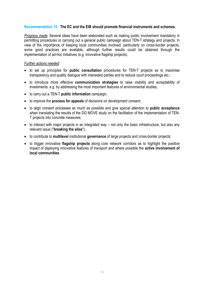### **Recommendation 12: The EC and the EIB should promote financial instruments and schemes.**

*Progress made:* Several ideas have been elaborated such as making public involvement mandatory in permitting procedures or carrying out a general public campaign about TEN-T strategy and projects. In view of the importance of keeping local communities involved, particularly on cross-border projects, some good practices are available, although further results could be obtained through the implementation of ad-hoc initiatives (e.g. innovative flagship projects).

- to set up principles for **public consultation** procedures for TEN-T projects as to maximise transparency and quality dialogue with interested parties and to reduce court proceedings etc.;
- to introduce more effective **communication strategies** to raise visibility and acceptability of investments, e.g. by addressing the most important features of environmental studies;
- to carry out a TEN-T **public information** campaign;
- to improve the **process for appeals** of decisions on development consent;
- to align consent processes as much as possible and give special attention to **public acceptance** when translating the results of the DG MOVE study on the facilitation of the implementation of TEN-T projects into concrete measures;
- to interact with major projects in an integrated way not only the basic infrastructure, but also any relevant issue ("**breaking the silos**");
- to contribute to **multilevel** institutional **governance** of large projects and cross-border projects;
- to trigger innovative **flagship projects** along core network corridors as to highlight the positive impact of deploying innovative features of transport and where possible the **active involvement of local communities**.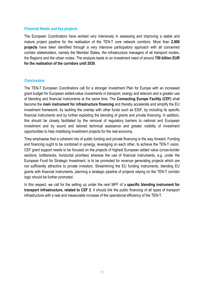### *Financial Needs and key projects*

The European Coordinators have worked very intensively in assessing and improving a stable and mature project pipeline for the realisation of the TEN-T core network corridors. More than **2,900 projects** have been identified through a very intensive participatory approach with all concerned corridor stakeholders, namely the Member States, the infrastructure managers of all transport modes, the Regions and the urban nodes. The analysis leads to an investment need of around **750 billion EUR for the realisation of the corridors until 2030**.

### *Conclusions*

The TEN-T European Coordinators call for a stronger Investment Plan for Europe with an increased grant budget for European added-value investments in transport, energy and telecom and a greater use of blending and financial instruments at the same time. The **Connecting Europe Facility (CEF)** shall become the **main instrument for infrastructure financing** and thereby accelerate and simplify the EU investment framework, by tackling the overlap with other funds such as ESIF, by including its specific financial instruments and by further exploiting the blending of grants and private financing. In addition, this should be closely facilitated by the removal of regulatory barriers to national and European investment and by sound and tailored technical assistance and greater visibility of investment opportunities to help mobilising investment projects for the real economy.

They emphasise that a coherent mix of public funding and private financing is the way forward. Funding and financing ought to be combined in synergy, leveraging on each other, to achieve the TEN-T vision. CEF grant support needs to be focused on the projects of highest European added value (cross-border sections, bottlenecks, horizontal priorities) whereas the use of financial instruments, e.g. under the European Fund for Strategic Investment, is to be promoted for revenue generating projects which are not sufficiently attractive to private investors. Streamlining the EU funding instruments, blending EU grants with financial instruments, planning a strategic pipeline of projects relying on the TEN-T corridor logic should be further promoted.

In this respect, we call for the setting up under the next MFF of a **specific blending instrument for transport infrastructure, related to CEF 2**. It should link the public financing of all types of transport infrastructure with a real and measurable increase of the operational efficiency of the TEN-T.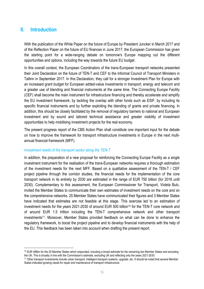### **II. Introduction**

**.** 

With the publication of the White Paper on the future of Europe by President Juncker in March 2017 and of the Reflection Paper on the future of EU finances in June 2017, the European Commission has given the starting point for a wide-ranging debate on tomorrow's Europe mapping out the different opportunities and options, including the way towards the future EU budget.

In this overall context, the European Coordinators of the trans-European transport networks presented their Joint Declaration on the future of TEN-T and CEF to the Informal Council of Transport Ministers in Tallinn in September 2017. In this Declaration, they call for a stronger Investment Plan for Europe with an increased grant budget for European added-value investments in transport, energy and telecom and a greater use of blending and financial instruments at the same time. The Connecting Europe Facility (CEF) shall become the main instrument for infrastructure financing and thereby accelerate and simplify the EU investment framework, by tackling the overlap with other funds such as ESIF, by including its specific financial instruments and by further exploiting the blending of grants and private financing. In addition, this should be closely facilitated by the removal of regulatory barriers to national and European investment and by sound and tailored technical assistance and greater visibility of investment opportunities to help mobilising investment projects for the real economy.

The present progress report of the CBS Action Plan shall constitute one important input for the debate on how to improve the framework for transport infrastructure investments in Europe in the next multiannual financial framework (MFF).

### *Investment needs of the transport sector along the TEN-T*

In addition, the preparation of a new proposal for reinforcing the Connecting Europe Facility as a single investment instrument for the realisation of the trans-European networks requires a thorough estimation of the investment needs for the next MFF. Based on a qualitative assessment of the TEN-T / CEF project pipeline through the corridor studies, the financial needs for the implementation of the core transport network in its entirety by 2030 are estimated in the range of EUR 750 billion (for 2016 until 2030). Complementary to this assessment, the European Commissioner for Transport, Violeta Bulc, invited the Member States to communicate their own estimates of investment needs on the core and on the comprehensive networks. 25 Member States have communicated their figures and 3 Member States have indicated that estimates are not feasible at this stage. This exercise led to an estimation of investment needs for the years 2021-2030 of around EUR 500 billion<sup>10</sup> for the TEN-T core network and of around EUR 1.5 trillion including the TEN-T comprehensive network and other transport investments<sup>11</sup>. Moreover, Member States provided feedback on what can be done to enhance the regulatory framework, to boost the project pipeline and to develop financial instruments with the help of the EU. This feedback has been taken into account when drafting the present report.

<sup>&</sup>lt;sup>10</sup> EUR 488bn for the 25 Member States which responded, including a broad estimate for the remaining two Member States and excluding the UK. This is broadly in line with the Commission's estimate, excluding UK and reflecting only the years 2021-2030.

<sup>11</sup> Other transport investments include urban transport, intelligent transport systems, upgrade, etc. It should be noted that several Member States indicated growing needs for repair and maintenance of transport infrastructure.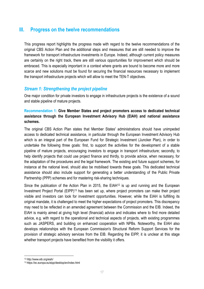### **III. Progress on the twelve recommendations**

This progress report highlights the progress made with regard to the twelve recommendations of the original CBS Action Plan and the additional steps and measures that are still needed to improve the framework for transport infrastructure investments in Europe. Indeed, although current policy measures are certainly on the right track, there are still various opportunities for improvement which should be embraced. This is especially important in a context where grants are bound to become more and more scarce and new solutions must be found for securing the financial resources necessary to implement the transport infrastructure projects which will allow to meet the TEN-T objectives.

### *Stream 1: Strengthening the project pipeline*

One major condition for private investors to engage in infrastructure projects is the existence of a sound and stable pipeline of mature projects.

### **Recommendation 1: Give Member States and project promoters access to dedicated technical assistance through the European Investment Advisory Hub (EIAH) and national assistance schemes.**

The original CBS Action Plan states that Member States' administrations should have unimpeded access to dedicated technical assistance, in particular through the European Investment Advisory Hub which is an integral part of the European Fund for Strategic Investment (Juncker Plan), in order to undertake the following three goals: first, to support the activities for the development of a stable pipeline of mature projects, encouraging investors to engage in transport infrastructure; secondly, to help identify projects that could use project finance and thirdly, to provide advice, when necessary, for the adaptation of the procedures and the legal framework. The existing and future support schemes, for instance at the national level, should also be mobilised towards these goals. This dedicated technical assistance should also include support for generating a better understanding of the Public Private Partnership (PPP) schemes and for mastering risk-sharing techniques.

Since the publication of the Action Plan in 2015, the EIAH<sup>12</sup> is up and running and the European Investment Project Portal (EIPP)13 has been set up, where project promoters can make their project visible and investors can look for investment opportunities. However, while the EIAH is fulfilling its original mandate, it is challenged to meet the higher expectations of project promoters. This discrepancy may need to be reflected in an amended agreement between the Commission and the EIB. Indeed, the EIAH is mainly aimed at giving high level (financial) advice and indicates where to find more detailed advice, e.g. with regard to the operational and technical aspects of projects, with existing programmes such as JASPERS, and building on enhanced cooperation with NPBs. Noteworthy, the EIAH also develops relationships with the European Commission's Structural Reform Support Services for the provision of strategic advisory services from the EIB. Regarding the EIPP, it is unclear at this stage whether transport projects have benefited from the visibility it offers.

1

<sup>12</sup> http://www.eib.org/eiah/

<sup>13</sup> https://ec.europa.eu/eipp/desktop/en/index.html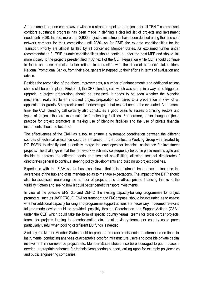At the same time, one can however witness a stronger pipeline of projects: for all TEN-T core network corridors substantial progress has been made in defining a detailed list of projects and investment needs until 2030. Indeed, more than 2,900 projects / investments have been defined along the nine core network corridors for their completion until 2030. As for ESIF, the ex-ante conditionalities for the Transport Priority are almost fulfilled by all concerned Member States. As explained further under recommendation 3, ESIF ex-ante conditionalities should continue under the next MFF and should link more closely to the projects pre-identified in Annex I of the CEF Regulation while CEF should continue to focus on these projects, further refined in interaction with the different corridors' stakeholders. National Promotional Banks, from their side, generally stepped up their efforts in terms of evaluation and advice.

Besides the recognition of the above improvements, a number of enhancements and additional actions should still be put in place. First of all, the CEF blending call, which was set up in a way as to trigger an upgrade in project preparation, should be assessed. It needs to be seen whether the blending mechanism really led to an improved project preparation compared to a preparation in view of an application for grants. Best practice and shortcomings in that respect need to be evaluated. At the same time, the CEF blending call certainly also constitutes a good basis to assess promising sectors and types of projects that are more suitable for blending facilities. Furthermore, an exchange of (best) practice for project promoters in making use of blending facilities and the use of private financial instruments should be fostered.

The effectiveness of the EIAH as a tool to ensure a systematic coordination between the different sources of technical assistance could be enhanced**.** In that context, a Working Group was created by DG ECFIN to simplify and potentially merge the envelopes for technical assistance for investment projects. The challenge is that the framework which may consequently be put in place remains agile and flexible to address the different needs and sectorial specificities, allowing sectorial directorates / directorates general to continue steering policy developments and building up project pipelines.

Experience with the EIAH so far has also shown that it is of utmost importance to increase the awareness of the hub and of its mandate so as to manage expectations. The impact of the EIPP should also be assessed, measuring the number of projects able to attract private financing thanks to the visibility it offers and seeing how it could better benefit transport investments.

In view of the possible EFSI 3.0 and CEF 2, the existing capacity-building programmes for project promoters, such as JASPERS, ELENA for transport and Fi-Compass, should be evaluated as to assess whether additional capacity building and programme support actions are necessary. If deemed relevant, tailored-made advice could be provided, possibly through Coordination and Support Actions (CSAs) under the CEF, which could take the form of specific country teams, teams for cross-border projects, teams for projects leading to decarbonisation etc. Local advisory teams per country could prove particularly useful when pooling of different EU funds is needed.

Similarly, toolkits for Member States could be prepared in order to disseminate information on financial instruments, conducting analyses of acceptable cost for infrastructure users and possible private capital involvement in non-revenue projects etc. Member States should also be encouraged to put in place, if needed, appropriate schemes for technical/engineering support, calling upon for example polytechnics and public engineering companies.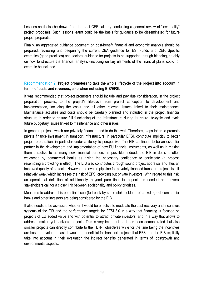Lessons shall also be drawn from the past CEF calls by conducting a general review of "low-quality" project proposals. Such lessons learnt could be the basis for guidance to be disseminated for future project preparation.

Finally, an aggregated guidance document on cost-benefit financial and economic analysis should be prepared, reviewing and deepening the current CBA guidance for ESI Funds and CEF. Specific examples (good practices) and sectoral guidance for projects to be supported through blending, notably on how to structure the financial analysis (including on key elements of the financial plan), could for example be included.

### **Recommendation 2: Project promoters to take the whole lifecycle of the project into account in terms of costs and revenues, also when not using EIB/EFSI.**

It was recommended that project promoters should include and pay due consideration, in the project preparation process, to the project's life-cycle from project conception to development and implementation, including the costs and all other relevant issues linked to their maintenance. Maintenance activities and costs should be carefully planned and included in the project financial structure in order to ensure full functioning of the infrastructure during its entire life-cycle and avoid future budgetary issues linked to maintenance and other issues.

In general, projects which are privately financed tend to do this well. Therefore, steps taken to promote private finance investment in transport infrastructure, in particular EFSI, contribute implicitly to better project preparation, in particular under a life cycle perspective. The EIB continued to be an essential partner in the development and implementation of new EU financial instruments, as well as in making them attractive to as many new financial partners as possible. Indeed, the EIB in deals is often welcomed by commercial banks as giving the necessary confidence to participate (a process resembling a crowding-in effect). The EIB also contributes through sound project appraisal and thus an improved quality of projects. However, the overall pipeline for privately financed transport projects is still relatively weak which increases the risk of EFSI crowding out private investors. With regard to this risk, an operational definition of additionality, beyond pure financial aspects, is needed and several stakeholders call for a closer link between additionality and policy priorities.

Measures to address this potential issue (fed back by some stakeholders) of crowding out commercial banks and other investors are being considered by the EIB.

It also needs to be assessed whether it would be effective to modulate the cost recovery and incentives systems of the EIB and the performance targets for EFSI 3.0 in a way that financing is focused on projects of EU added value and with potential to attract private investors, and in a way that allows to address smaller, yet bankable projects. This is very important as it has been demonstrated that also smaller projects can directly contribute to the TEN-T objectives while for the time being the incentives are based on volume. Last, it would be beneficial for transport projects that EFSI and the EIB explicitly take into account in their evaluation the indirect benefits generated in terms of jobs/growth and environmental aspects.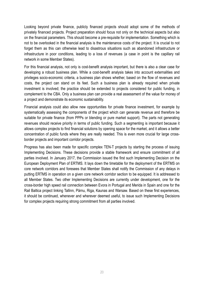Looking beyond private finance, publicly financed projects should adopt some of the methods of privately financed projects. Project preparation should focus not only on the technical aspects but also on the financial parameters. This should become a pre-requisite for implementation. Something which is not to be overlooked in the financial analysis is the maintenance costs of the project. It is crucial to not forget them as this can otherwise lead to disastrous situations such as abandoned infrastructure or infrastructure in poor conditions, leading to a loss of revenues (a case in point is the capillary rail network in some Member States).

For this financial analysis, not only is cost-benefit analysis important, but there is also a clear case for developing a robust business plan. While a cost-benefit analysis takes into account externalities and privileges socio-economic criteria, a business plan shows whether, based on the flow of revenues and costs, the project can stand on its feet. Such a business plan is already required when private investment is involved; the practice should be extended to projects considered for public funding, in complement to the CBA. Only a business plan can provide a real assessment of the value for money of a project and demonstrate its economic sustainability.

Financial analysis could also allow new opportunities for private finance investment, for example by systematically assessing the components of the project which can generate revenue and therefore be suitable for private finance (from PPPs or blending or pure market support). The parts not generating revenues should receive priority in terms of public funding. Such a segmenting is important because it allows complex projects to find financial solutions by opening space for the market, and it allows a better concentration of public funds where they are really needed. This is even more crucial for large crossborder projects and important corridor projects.

Progress has also been made for specific complex TEN-T projects by starting the process of issuing Implementing Decisions. These decisions provide a stable framework and ensure commitment of all parties involved. In January 2017, the Commission issued the first such Implementing Decision on the European Deployment Plan of ERTMS. It lays down the timetable for the deployment of the ERTMS on core network corridors and foresees that Member States shall notify the Commission of any delays in putting ERTMS in operation on a given core network corridor section to be equipped. It is addressed to all Member States. Two other Implementing Decisions are currently under development, one for the cross-border high speed rail connection between Evora in Portugal and Merida in Spain and one for the Rail Baltica project linking Tallinn, Pärnu, Riga, Kaunas and Warsaw. Based on these first experiences, it should be continued, whenever and wherever deemed useful, to issue such Implementing Decisions for complex projects requiring strong commitment from all parties involved.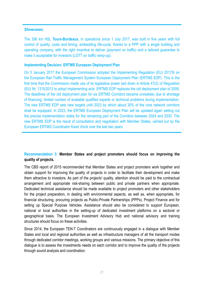### *Showcases:*

The 306 km HSL **Tours-Bordeaux**, in operations since 1 July 2017, was built in five years with full control of quality, costs and timing, embedding life-cycle, thanks to a PPP with a single building and operating company, with the right incentive to deliver (payment on traffic) and a tailored guarantee to make it acceptable for investors (LGTT on traffic ramp-up).

### **Implementing Decision: ERTMS European Deployment Plan**

On 5 January 2017 the European Commission adopted the Implementing Regulation (EU) 2017/6 on the European Rail Traffic Management System European Deployment Plan (ERTMS EDP). This is the first time that the Commission made use of its legislative power laid down in Article 47(2) of Regulation (EU) Nr. 1315/2013 to adopt implementing acts. ERTMS EDP replaces the old deployment plan of 2009. The deadlines of the old deployment plan for six ERTMS Corridors became unrealistic due to shortage of financing, limited number of available qualified experts or technical problems during implementation. The new ERTMS EDP sets new targets until 2023 by which about 30% of the core network corridors shall be equipped. In 2023, the ERTMS European Deployment Plan will be updated again setting out the precise implementation dates for the remaining part of the Corridors between 2024 and 2030. The new ERTMS EDP is the result of consultation and negotiation with Member States, carried out by the European ERTMS Coordinator Karel Vinck over the last two years.

### **Recommendation 3: Member States and project promoters should focus on improving the quality of projects.**

The CBS report of 2015 recommended that Member States and project promoters work together and obtain support for improving the quality of projects in order to facilitate their development and make them attractive to investors. As part of the projects' quality, attention should be paid to the contractual arrangement and appropriate risk-sharing between public and private partners when appropriate. Dedicated technical assistance should be made available to project promoters and other stakeholders for the project preparation, in dealing with environmental aspects, as well as, when appropriate, for financial structuring, procuring projects as Public-Private Partnerships (PPPs), Project Finance and for setting up Special Purpose Vehicles. Assistance should also be considered to support European, national or local authorities in the setting-up of dedicated investment platforms on a sectoral or geographical basis. The European Investment Advisory Hub and national advisory and training structures should focus on these activities.

Since 2014, the European TEN-T Coordinators are continuously engaged in a dialogue with Member States and local and regional authorities as well as infrastructure managers of all the transport modes through dedicated corridor meetings, working groups and various missions. The primary objective of this dialogue is to assess the investments needs on each corridor and to improve the quality of the projects through sound analysis and coordination.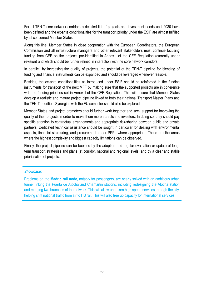For all TEN-T core network corridors a detailed list of projects and investment needs until 2030 have been defined and the ex-ante conditionalities for the transport priority under the ESIF are almost fulfilled by all concerned Member States.

Along this line, Member States in close cooperation with the European Coordinators, the European Commission and all infrastructure managers and other relevant stakeholders must continue focusing funding from CEF on the projects pre-identified in Annex I of the CEF Regulation (currently under revision) and which should be further refined in interaction with the core network corridors.

In parallel, by increasing the quality of projects, the potential of the TEN-T pipeline for blending of funding and financial instruments can be expanded and should be leveraged whenever feasible.

Besides, the ex-ante conditionalities as introduced under ESIF should be reinforced in the funding instruments for transport of the next MFF by making sure that the supported projects are in coherence with the funding priorities set in Annex I of the CEF Regulation. This will ensure that Member States develop a realistic and mature project pipeline linked to both their national Transport Master Plans and the TEN-T priorities. Synergies with the EU semester should also be explored.

Member States and project promoters should further work together and seek support for improving the quality of their projects in order to make them more attractive to investors. In doing so, they should pay specific attention to contractual arrangements and appropriate risk-sharing between public and private partners. Dedicated technical assistance should be sought in particular for dealing with environmental aspects, financial structuring, and procurement under PPPs where appropriate. These are the areas where the highest complexity and biggest capacity limitations can be observed.

Finally, the project pipeline can be boosted by the adoption and regular evaluation or update of longterm transport strategies and plans (at corridor, national and regional levels) and by a clear and stable prioritisation of projects.

### *Showcase:*

Problems on the **Madrid rail node**, notably for passengers, are nearly solved with an ambitious urban tunnel linking the Puerta de Atocha and Chamartin stations, including redesigning the Atocha station and merging two branches of the network. This will allow unbroken high speed services through the city, helping shift national traffic from air to HS rail. This will also free up capacity for international services.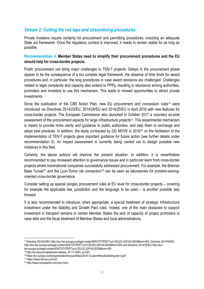### *Stream 2: Cutting the red tape and streamlining procedures*

Private investors require certainty for procurement and permitting procedures, including an adequate State aid framework. Once the regulatory context is improved, it needs to remain stable for as long as possible.

### **Recommendation 4: Member States need to simplify their procurement procedures and the EU should help for cross-border projects.**

Public procurement can bring major challenges to TEN-T projects. Delays in the procurement phase appear to be the consequence of a too complex legal framework, the absence of time limits for award procedures and, in particular, the long procedures in case award decisions are challenged. Challenges related to legal complexity and capacity also extend to PPPs, resulting in reluctance among authorities, promoters and investors to use this mechanism. This leads to missed opportunities to attract private investments.

Since the publication of the CBS Action Plan, new EU procurement and concession rules<sup>14</sup> were introduced via Directives 2014/23/EU, 2014/24/EU and 2014/25/EU in April 2016 with new features for cross-border projects. The European Commission also launched in October 2017 a voluntary ex-ante assessment of the procurement aspects for large infrastructure projects15. This experimental mechanism is meant to provide more clarity and guidance to public authorities, and help them to exchange and adopt best practices. In addition, the study contracted by DG MOVE in 201616 on the facilitation of the implementation of TEN-T projects gave important guidance for future action (see further details under recommendation 5). An impact assessment is currently being carried out to design possible new initiatives in this field.

Certainly, the above actions will improve the present situation. In addition, it is nevertheless recommended to pay increased attention to governance issues and in particular learn from cross-border projects where transnational companies successfully addressed procurement. For example, the Brenner Base Tunnel<sup>17</sup> and the Lyon-Torino rail connection<sup>18</sup> can be seen as laboratories for problem-solvingoriented cross-border governance.

Consider setting up special (single) procurement rules at EU level for cross-border projects – covering for example the applicable law, jurisdiction and the language to be used – is another possible way forward.

It is also recommended to introduce, when appropriate, a special treatment of strategic infrastructure investment under the Stability and Growth Pact rules. Indeed, one of the main obstacles to support investment in transport remains in certain Member States the lack of capacity of project promoters to raise debt and the fiscal treatment of Member States and local administrations.

17 https://www.bbt-se.com/en/

 $\overline{a}$ 

<sup>14</sup> Directive 2014/23/EU http://eur-lex.europa.eu/legal-content/EN/TXT/PDF/?uri=CELEX:32014L0023&from=EN, Directive 2014/24/EU http://eur-lex.europa.eu/legal-content/EN/TXT/PDF/?uri=CELEX:32014L0024&from=EN and Directive 2014/25/EU http://eurlex.europa.eu/legal-content/EN/TXT/PDF/?uri=CELEX:32014L0025&from=EN

<sup>15</sup> http://europa.eu/rapid/press-release\_IP-17-3543\_en.htm

<sup>16</sup> https://ec.europa.eu/transport/sites/transport/files/2016-12-permitting-facilitating-ten-t.pdf

<sup>18</sup> http://www.transalpine.com/lyon-turin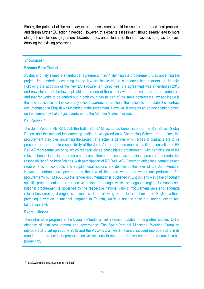Finally, the potential of the voluntary ex-ante assessment should be used as to spread best practices and design further EU action if needed. However, this ex-ante assessment should already lead to more stringent conclusions (e.g. more towards an ex-ante clearance than an assessment) as to avoid doubling the existing processes.

### *Showcases:*

### **Brenner Base Tunnel**

Austria and Italy signed a shareholder agreement in 2011 defining the procurement rules governing the project, i.e. tendering according to the law applicable to the company's headquarters i.e. in Italy. Following the adoption of the new EU Procurement Directives, the agreement was amended in 2015 and now states that the law applicable is the one of the country where the works are to be carried out and that for works to be carried out in both countries as part of the same contract the law applicable is the one applicable to the company's headquarters. In addition, the option to formulate the contract documentation in English was included in the agreement. However, it remains an ad hoc solution based on the common will of the joint venture and the Member States involved.

### **Rail Baltica**<sup>19</sup>

The Joint Venture RB RAIL AS, the Baltic States' Ministries as beneficiaries of the Rail Baltica Global Project and the national implementing bodies have agreed on a Contracting Scheme that defines the procurement principles governing the project. The scheme defines which types of contracts are to be procured under the sole responsibility of the Joint Venture (procurement committees consisting of RB Rail AS representatives only), which respectively as consolidated procurement (with participation of the relevant beneficiaries in the procurement committees) or as supervised national procurement (under the responsibility of the beneficiaries, with participation of RB RAIL AS). Common guidelines, templates and requirements for contracts and supplier qualifications are defined at the level of the Joint Venture. However, contracts are governed by the law of the state where the works are performed. For procurements by RB RAIL AS the tender documentation is published in English and – in case of country specific procurements – the respective national language, while the language regime for supervised national procurement is governed by the respective national Public Procurement laws and language rules (thus creating diverging situations, such as allowing offers to be submitted in English without providing a version in national language in Estonia, which is not the case e.g. under Latvian and Lithuanian law).

### **Evora – Merida**

The rather slow progress in the Evora – Merida rail link seems imputable, among other causes, to the absence of joint procurement and governance. The Spain-Portugal Ministerial Working Group on interoperability set up in June 2015 and the AVEP EEIG, which recently included interoperability in its mandate, are expected to provide effective solutions to speed up the realisation of this crucial crossborder link.

**<sup>.</sup>** 19 http://www.railbaltica.org/about-rail-baltica/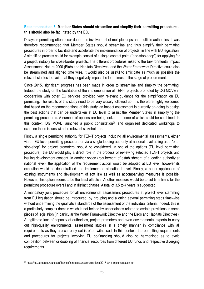### **Recommendation 5: Member States should streamline and simplify their permitting procedures; this should also be facilitated by the EC.**

Delays in permitting often occur due to the involvement of multiple steps and multiple authorities. It was therefore recommended that Member States should streamline and thus simplify their permitting procedures in order to facilitate and accelerate the implementation of projects, in line with EU legislation. A simplified process could for example consist of a single contact point ("one-stop-shop") for applying for a project, notably for cross-border projects. The different procedures linked to the Environmental Impact Assessment, Natura 2000 (Birds and Habitats Directives) and the Water Framework Directive could also be streamlined and aligned time wise. It would also be useful to anticipate as much as possible the relevant studies to avoid that they negatively impact the lead-times at the stage of procurement.

Since 2015, significant progress has been made in order to streamline and simplify the permitting. Indeed, the study on the facilitation of the implementation of TEN-T projects promoted by DG MOVE in cooperation with other EC services provided very relevant guidance for the simplification on EU permitting. The results of this study need to be very closely followed up. It is therefore highly welcomed that based on the recommendations of this study, an impact assessment is currently on-going to design the best actions that can be undertaken at EU level to assist the Member States in simplifying the permitting procedures. A number of options are being looked at, some of which could be combined. In this context, DG MOVE launched a public consultation<sup>20</sup> and organised dedicated workshops to examine these issues with the relevant stakeholders.

Firstly, a single permitting authority for TEN-T projects including all environmental assessments, either via an EU level permitting procedure or via a single leading authority at national level acting as a "onestop-shop" for project promoters, should be considered. In one of the options (EU level permitting procedure), the EU would play a direct role in the process of reviewing selected TEN-T projects and issuing development consent. In another option (requirement of establishment of a leading authority at national level), the application of the requirement action would be adopted at EU level, however its execution would be decentralised and implemented at national level. Finally, a better application of existing instruments and development of soft law as well as accompanying measures is possible. However, this option seems to be the least effective. Another measure would be to set time limits for the permitting procedure overall and in distinct phases. A total of 3.5 to 4 years is suggested.

A mandatory joint procedure for all environmental assessment procedures at project level stemming from EU legislation should be introduced, by grouping and aligning several permitting steps time-wise without undermining the qualitative standards of the assessment of the individual criteria. Indeed, this is a particularly complex domain which is not helped by uncertainties related to certain provisions in some pieces of legislation (in particular the Water Framework Directive and the Birds and Habitats Directives). A legitimate lack of capacity of authorities, project promoters and even environmental experts to carry out high-quality environmental assessment studies in a timely manner in compliance with all requirements as they are currently set is often witnessed. In this context, the permitting requirements and procedures for projects involving EU co-financing should also be harmonised as to avoid competition between or doubling of financial resources from different EU funds and respective diverging requirements.

**.** 

<sup>20</sup> https://ec.europa.eu/transport/themes/infrastructure/consultations/2017-ten-t-implementation\_en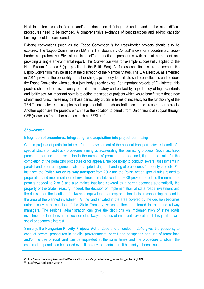Next to it, technical clarification and/or guidance on defining and understanding the most difficult procedures need to be provided. A comprehensive exchange of best practices and ad-hoc capacity building should be considered.

Existing conventions (such as the Espoo Convention<sup>21</sup>) for cross-border projects should also be explored. The 'Espoo Convention on EIA in a Transboundary Context' allows for a coordinated, crossborder comprehensive EIA, streamlining different national procedures with a joint agreement and providing a single environmental report. This Convention was for example successfully applied to the Nord Stream 2 project<sup>22</sup> (gas pipeline in the Baltic Sea). As far as consultations are concerned, the Espoo Convention may be used at the discretion of the Member States. The EIA Directive, as amended in 2014, provides the possibility for establishing a joint body to facilitate such consultations and so does the Espoo Convention when such a joint body already exists. For important projects of EU interest, this practice shall not be discretionary but rather mandatory and backed by a joint body of high standards and legitimacy. An important point is to define the scope of projects which would benefit from those new streamlined rules. These may be those particularly crucial in terms of necessity for the functioning of the TEN-T core network or complexity of implementation, such as bottlenecks and cross-border projects. Another option are the projects which have the vocation to benefit from Union financial support through CEF (as well as from other sources such as EFSI etc.).

### *Showcases:*

### **Integration of procedures: Integrating land acquisition into project permitting**

Certain projects of particular interest for the development of the national transport network benefit of a special status or fast-track procedure aiming at accelerating the permitting process. Such fast track procedure can include a reduction in the number of permits to be obtained, tighter time limits for the completion of the permitting procedure or for appeals, the possibility to conduct several assessments in parallel and other arrangements aimed at prioritising the handling of procedures for priority projects. For instance, the **Polish Act on railway transport** from 2003 and the Polish Act on special rules related to preparation and implementation of investments in state roads of 2008 proved to reduce the number of permits needed to 2 or 3 and also makes that land covered by a permit becomes automatically the property of the State Treasury. Indeed, the decision on implementation of state roads investment and the decision on the location of railways is equivalent to an expropriation decision concerning the land in the area of the planned investment. All the land situated in the area covered by the decision becomes automatically a possession of the State Treasury, which is then transferred to road and railway managers. The regional administration can give the decisions on implementation of state roads investment or the decision on location of railways a status of immediate execution, if it is justified with social or economic interest.

Similarly, the **Hungarian Priority Projects Act** of 2006 and amended in 2015 gives the possibility to conduct several procedures in parallel (environmental permit and occupation and use of forest land and/or the use of rural land can be requested at the same time); and the procedure to obtain the construction permit can be started even if the environmental permit has not yet been issued.

<sup>1</sup> 21 https://www.unece.org/fileadmin/DAM/env/eia/documents/legaltexts/Espoo\_Convention\_authentic\_ENG.pdf 22 https://www.nord-stream2.com/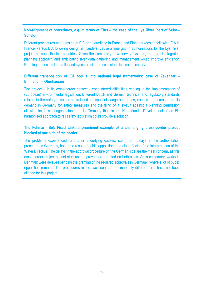### **Non-alignment of procedures, e.g. in terms of EIAs – the case of the Lys River (part of Seine– Scheldt)**

Different procedures and phasing of EIA and permitting in France and Flanders (design following EIA in France, versus EIA following design in Flanders) cause a time gap in authorisations for the Lys River project between the two countries. Given the complexity of waterway systems, an upfront integrated planning approach and anticipating river data gathering and management would improve efficiency. Running processes in parallel and synchronising process steps is also necessary.

### **Different transposition of EU acquis into national legal frameworks: case of Zevenaar – Emmerich – Oberhausen**

The project – in its cross-border context - encountered difficulties relating to the implementation of (European) environmental legislation. Different Dutch and German technical and regulatory standards related to fire safety, disaster control and transport of dangerous goods, caused an increased public demand in Germany for safety measures and the filing of a lawsuit against a planning permission allowing for less stringent standards in Germany than in the Netherlands. Development of an EU harmonised approach to rail safety legislation could provide a solution.

### **The Fehmarn Belt Fixed Link: a prominent example of a challenging cross-border project blocked at one side of the border**

The problems experienced, and their underlying causes, stem from delays in the authorisation procedure in Germany, both as a result of public opposition, and also effects of the interpretation of the Water Directive. The delays in the approval procedure on the German side are the main concern, as this cross-border project cannot start until approvals are granted on both sides. As is customary, works in Denmark were delayed pending the granting of the required approvals in Germany, where a lot of public opposition remains. The procedures in the two countries are markedly different, and have not been aligned for this project.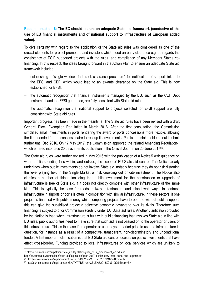### **Recommendation 6: The EC should ensure an adequate State aid framework (conducive of the use of EU financial instruments and of national support to infrastructure of European added value).**

To give certainty with regard to the application of the State aid rules was considered as one of the crucial elements for project promoters and investors which need an early clearance e.g. as regards the consistency of ESIF supported projects with the rules, and compliance of any Members States cofinancing. In this respect, the ideas brought forward in the Action Plan to ensure an adequate State aid framework included:

- establishing a "single window, fast-track clearance procedure" for notification of support linked to the EFSI and CEF, which would lead to an ex-ante clearance on the State aid. This is now established for EFSI;
- − the automatic recognition that financial instruments managed by the EU, such as the CEF Debt Instrument and the EFSI guarantee, are fully consistent with State aid rules;
- − the automatic recognition that national support to projects selected for EFSI support are fully consistent with State aid rules.

Important progress has been made in the meantime. The State aid rules have been revised with a draft General Block Exemption Regulation in March 2016. After the first consultation, the Commission simplified small investments in ports rendering the award of ports concessions more flexible, allowing the time needed for the concessionaire to recoup its investments. Public and stakeholders could submit further until Dec 2016. On 17 May 2017, the Commission approved the related Amending Regulation<sup>23</sup> which entered into force 20 days after its publication in the Official Journal on 20 June 2017<sup>24</sup>.

The State aid rules were further revised in May 2016 with the publication of a Notice<sup>25</sup> with guidance on when public spending falls within, and outside, the scope of EU State aid control. The Notice clearly underlines when public investments do not involve State aid, notably because they do not risk distorting the level playing field in the Single Market or risk crowding out private investment. The Notice also clarifies a number of things including that public investment for the construction or upgrade of infrastructure is free of State aid, if it does not directly compete with other infrastructure of the same kind. This is typically the case for roads, railway infrastructure and inland waterways. In contrast, infrastructure in airports or ports is often in competition with similar infrastructure. In these sectors, if one project is financed with public money while competing projects have to operate without public support, this can give the subsidised project a selective economic advantage over its rivals. Therefore such financing is subject to prior Commission scrutiny under EU State aid rules. Another clarification provided by the Notice is that, when infrastructure is built with public financing that involves State aid in line with EU rules, public authorities need to make sure that such aid is not passed on to the operator or users of this infrastructure. This is the case if an operator or user pays a market price to use the infrastructure in question, for instance as a result of a competitive, transparent, non-discriminatory and unconditional tender. A last important clarification is that EU State aid control focuses on public investments that have effect cross-border. Funding provided to local infrastructures or local services which are unlikely to

**.** 

<sup>&</sup>lt;sup>23</sup> http://ec.europa.eu/competition/state\_aid/legislation/gber\_2017\_amendment\_en.pdf and

http://ec.europa.eu/competition/state\_aid/legislation/gber\_2017\_explanatory\_note\_ports\_and\_airports.pdf<br><sup>24</sup> http://eur-lex.europa.eu/legal-content/EN/TXT/PDF/?uri=CELEX:32017R1084&from=EN

<sup>&</sup>lt;sup>25</sup> http://eur-lex.europa.eu/legal-content/EN/TXT/PDF/?uri=CELEX:52016XC0719(05)&from=EN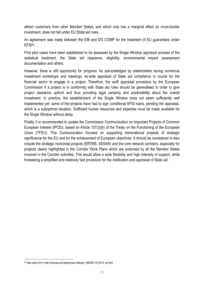attract customers from other Member States, and which only has a marginal effect on cross-border investment, does not fall under EU State aid rules.

An agreement was made between the EIB and DG COMP for the treatment of EU guarantees under EFSI26.

First pilot cases have been established to be assessed by the Single Window appraisal process of the statistical treatment, the State aid clearance, eligibility, environmental impact assessment documentation and others.

However, there is still opportunity for progress. As acknowledged by stakeholders during numerous investment workshops and meetings, ex-ante appraisal of State aid compliance is crucial for the financial sector to engage in a project. Therefore, the swift appraisal procedure by the European Commission if a project is in conformity with State aid rules should be generalised in order to give project clearance upfront and thus providing legal certainty and predictability about the overall investment. In practice, the establishment of the Single Window does not seem sufficiently well implemented yet: some of the projects have had to sign conditional EFSI loans, pending the appraisal, which is a suboptimal situation. Sufficient human resources and expertise must be made available for the Single Window without delay.

Finally, it is recommended to update the Commission Communication on Important Projects of Common European Interest (IPCEI), based on Article 107(3)(b) of the Treaty on the Functioning of the European Union (TFEU). This Communication focused on supporting transnational projects of strategic significance for the EU and for the achievement of European objectives. It should be considered to also include the strategic horizontal projects (ERTMS, SESAR) and the core network corridors, especially for projects clearly highlighted in the Corridor Work Plans which are endorsed by all the Member States involved in the Corridor activities. This would allow a wide flexibility and high intensity of support, while foreseeing a simplified and relatively fast procedure for the notification and appraisal of State aid.

**.** 

<sup>26</sup> See point 24 in http://europa.eu/rapid/press-release\_MEMO-15-5419\_en.htm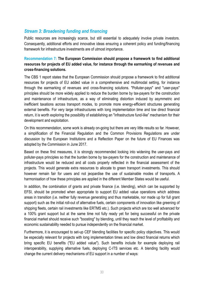### *Stream 3: Broadening funding and financing*

Public resources are increasingly scarce, but still essential to adequately involve private investors. Consequently, additional efforts and innovative ideas ensuring a coherent policy and funding/financing framework for infrastructure investments are of utmost importance.

### **Recommendation 7: The European Commission should propose a framework to find additional resources for projects of EU added value, for instance through the earmarking of revenues and cross-financing solutions.**

The CBS 1 report states that the European Commission should propose a framework to find additional resources for projects of EU added value in a comprehensive and multimodal setting, for instance through the earmarking of revenues and cross-financing solutions. "Polluter-pays" and "user-pays" principles should be more widely applied to reduce the burden borne by tax-payers for the construction and maintenance of infrastructure, as a way of eliminating distortion induced by asymmetric and inefficient taxations across transport modes, to promote more energy-efficient structures generating external benefits. For very large infrastructures with long implementation time and low direct financial return, it is worth exploring the possibility of establishing an "infrastructure fund-like" mechanism for their development and exploitation.

On this recommendation, some work is already on-going but there are very little results so far. However, a simplification of the Financial Regulation and the Common Provisions Regulations are under discussion by the European Institutions and a Reflection Paper on the future of EU Finances was adopted by the Commission in June 2017.

Based on these first measures, it is strongly recommended looking into widening the user-pays and polluter-pays principles so that the burden borne by tax-payers for the construction and maintenance of infrastructure would be reduced and all costs properly reflected in the financial assessment of the projects. This would generate extra resources to allocate to green transport investments. This should however remain fair for users and not jeopardise the use of sustainable modes of transports. A harmonisation of how these principles are applied in the different Member States would be useful.

In addition, the combination of grants and private finance (i.e. blending), which can be supported by EFSI, should be promoted when appropriate to support EU added value operations which address areas in transition (i.e. neither fully revenue generating and thus marketable, nor made up for full grant support) such as the initial roll-out of alternative fuels, certain components of innovation like greening of shipping fleets, certain rail investments like ERTMS etc.). Such projects which are too well advanced for a 100% grant support but at the same time not fully ready yet for being successful on the private financial market should receive such "boosting" by blending, until they reach the level of profitability and economic sustainability needed to pursue independently on the financial market.

Furthermore, it is encouraged to set-up CEF blending facilities for specific policy objectives. This would be especially relevant for projects with long implementation times and low direct financial returns which bring specific EU benefits ("EU added value"). Such benefits include for example deploying rail interoperability, supplying alternative fuels, deploying C-ITS services etc. A blending facility would change the current delivery mechanisms of EU support in a number of ways: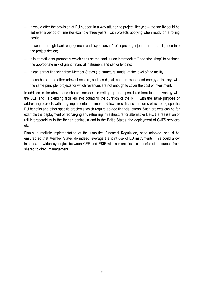- − It would offer the provision of EU support in a way attuned to project lifecycle the facility could be set over a period of time (for example three years), with projects applying when ready on a rolling basis;
- − It would, through bank engagement and "sponsorship" of a project, inject more due diligence into the project design;
- − It is attractive for promoters which can use the bank as an intermediate " one stop shop" to package the appropriate mix of grant, financial instrument and senior lending;
- − It can attract financing from Member States (i.e. structural funds) at the level of the facility;
- − It can be open to other relevant sectors, such as digital, and renewable end energy efficiency, with the same principle: projects for which revenues are not enough to cover the cost of investment.

In addition to the above, one should consider the setting up of a special (ad-hoc) fund in synergy with the CEF and its blending facilities, not bound to the duration of the MFF, with the same purpose of addressing projects with long implementation times and low direct financial returns which bring specific EU benefits and other specific problems which require ad-hoc financial efforts. Such projects can be for example the deployment of recharging and refuelling infrastructure for alternative fuels, the realisation of rail interoperability in the Iberian peninsula and in the Baltic States, the deployment of C-ITS services etc.

Finally, a realistic implementation of the simplified Financial Regulation, once adopted, should be ensured so that Member States do indeed leverage the joint use of EU instruments. This could allow inter-alia to widen synergies between CEF and ESIF with a more flexible transfer of resources from shared to direct management.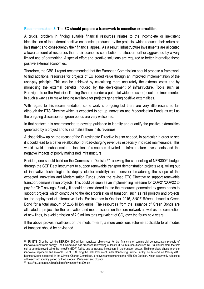### **Recommendation 8: The EC should propose a framework to monetise externalities.**

A crucial problem in finding suitable financial resources relates to the incomplete or inexistent identification of the external positive economies produced by the projects, which reduces their return on investment and consequently their financial appeal. As a result, infrastructure investments are allocated a lower amount of resources than their economic contribution, a situation further aggravated by a very limited use of earmarking. A special effort and creative solutions are required to better internalise these positive external economies.

Therefore, the CBS 1 report recommended that the European Commission should propose a framework to find additional resources for projects of EU added value through an improved implementation of the user-pay principle. This can be achieved by calculating more accurately the external costs and by monetising the external benefits induced by the development of infrastructure. Tools such as Eurovignette or the Emission Trading Scheme (under a potential widened scope) could be implemented in such a way as to make funding available for projects generating positive externalities.

With regard to this recommendation, some work is on-going but there are very little results so far, although the ETS Directive which is expected to set up Innovation and Modernisation Funds as well as the on-going discussion on green bonds are very welcomed.

In that context, it is recommended to develop quidance to identify and quantify the positive externalities generated by a project and to internalise them in its revenues.

A close follow up on the recast of the Eurovignette Directive is also needed, in particular in order to see if it could lead to a better re-allocation of road-charging revenues especially into road maintenance. This would avoid a suboptimal re-allocation of resources devoted to infrastructure investments and the negative impacts of poorly maintained infrastructure.

Besides, one should build on the Commission Decision<sup>27</sup> allowing the channelling of NER300<sup>28</sup> budget through the CEF Debt Instrument to support renewable transport demonstration projects (e.g. rolling out of innovative technologies to deploy elector mobility) and consider broadening the scope of the expected Innovation and Modernisation Funds under the revised ETS Directive to support renewable transport demonstration projects. This could be seen as an implementing measure for COP21/COP22 to pay for GHG savings. Finally, it should be considered to use the resources generated by green bonds to support projects which contribute to the decarbonisation of transport, such as rail projects and projects for the deployment of alternative fuels. For instance in October 2016, SNCF Réseau issued a Green Bond for a total amount of 2.65 billion euros. The resources from the issuance of Green Bonds are allocated to projects for the renovation and modernisation on the core network as well as the completion of new lines, to avoid emission of 2.9 million tons equivalent of  $CO<sub>2</sub>$  over the fourty next years.

If the above proves insufficient on the medium-term, a more ambitious scheme applicable to all modes of transport should be envisaged.

 $\overline{a}$ 

<sup>&</sup>lt;sup>27</sup> EU ETS Directive set the NER300: 300 million monetized allowances for the financing of commercial demonstration projects of innovative renewable energy. The Commission has proposed reinvesting at least EUR 436 m non-disbursed NER 300 funds from the first call to be redeployed using the InnovFin (EDP) facility and to increase investment in the transport sector. Eligible projects should promote innovative, replicable and scalable use of RES using the Debt Instrument under Connecting Europe Facility. To this end, on 19 May 2017 Member States approved, in the Climate Change Committee, a relevant amendment to the NER 300 Decision, which is currently subject to a three-month scrutiny period by the European Parliament and Council.

<sup>28</sup> https://ec.europa.eu/clima/policies/lowcarbon/ner300\_en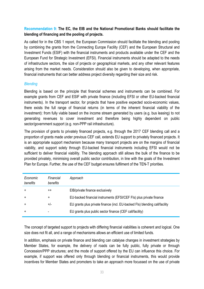### **Recommendation 9: The EC, the EIB and the National Promotional Banks should facilitate the blending of financing and the pooling of projects.**

As called for in the CBS 1 report, the European Commission should facilitate the blending and pooling by combining the grants from the Connecting Europe Facility (CEF) and the European Structural and Investment Funds (ESIF) with the financial instruments and products available under the CEF and the European Fund for Strategic Investment (EFSI). Financial instruments should be adapted to the needs of infrastructure sectors, the size of projects or geographical markets, and any other relevant features arising from the market needs. Consideration should also be given to developing, when appropriate, financial instruments that can better address project diversity regarding their size and risk.

### *Blending*

Blending is based on the principle that financial schemes and instruments can be combined. For example grants from CEF and ESIF with private finance (including EFSI or other EU-backed financial instruments). In the transport sector, for projects that have positive expected socio-economic values, there exists the full range of financial returns (in terms of the inherent financial viability of the investment): from fully viable based on the income stream generated by users (e.g. bus leasing) to not generating revenues to cover investment and therefore being highly dependent on public sector/government support (e.g. non-PPP rail infrastructure).

The provision of grants to privately financed projects, e.g. through the 2017 CEF blending call and a proportion of grants made under previous CEF call, extends EU support to privately financed projects. It is an appropriate support mechanism because many transport projects are on the margins of financial viability, and support solely through EU-backed financial instruments including EFSI would not be sufficient to deliver financial viability. The blending approach still allows the bulk of the finance to be provided privately, minimising overall public sector contribution, in line with the goals of the Investment Plan for Europe. Further, the use of the CEF budget ensures fulfilment of the TEN-T priorities.

| Economic<br>benefits | Financial<br>benefits | Approach                                                                    |
|----------------------|-----------------------|-----------------------------------------------------------------------------|
| $+$                  | $^{\mathrm{+}}$       | EIB/private finance exclusively                                             |
| $+$                  | +                     | EU-backed financial instruments (EFSI/CEF FIs) plus private finance         |
| $\ddot{}$            | $+/-$                 | EU grants plus private finance (incl. EU-backed FIs) blending call/facility |
| $+$                  |                       | EU grants plus public sector finance (CEF call/facility)                    |

The concept of targeted support to projects with differing financial viabilities is coherent and logical. One size does not fit all, and a range of mechanisms allows an efficient use of limited funds.

In addition, emphasis on private finance and blending can catalyse changes in investment strategies by Member States, for example, the delivery of roads can be fully public, fully private or through Concession/PPP structures; and the mode of support offered by the EU can influence this choice. For example, if support was offered only through blending or financial instruments, this would provide incentives for Member States and promoters to take an approach more focussed on the use of private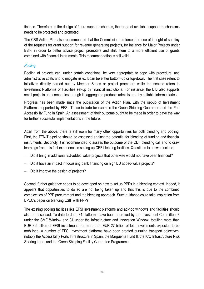finance. Therefore, in the design of future support schemes, the range of available support mechanisms needs to be protected and promoted.

The CBS Action Plan also recommended that the Commission reinforces the use of its right of scrutiny of the requests for grant support for revenue generating projects, for instance for Major Projects under ESIF, in order to better advise project promoters and shift them to a more efficient use of grants combined with financial instruments. This recommendation is still valid.

### *Pooling*

Pooling of projects can, under certain conditions, be very appropriate to cope with procedural and administrative costs and to mitigate risks. It can be either bottom-up or top-down. The first case refers to initiatives directly carried out by Member States or project promoters while the second refers to Investment Platforms or Facilities set-up by financial institutions. For instance, the EIB also supports small projects and companies through its aggregated products administered by suitable intermediaries.

Progress has been made since the publication of the Action Plan, with the set-up of Investment Platforms supported by EFSI. These include for example the Green Shipping Guarantee and the Port Accessibility Fund in Spain. An assessment of their outcome ought to be made in order to pave the way for further successful implementations in the future.

Apart from the above, there is still room for many other opportunities for both blending and pooling. First, the TEN-T pipeline should be assessed against the potential for blending of funding and financial instruments. Secondly, it is recommended to assess the outcome of the CEF blending call and to draw learnings from this first experience in setting up CEF blending facilities. Questions to answer include:

- Did it bring in additional EU-added value projects that otherwise would not have been financed?
- − Did it have an impact in focussing bank financing on high EU added-value projects?
- − Did it improve the design of projects?

Second, further guidance needs to be developed on how to set up PPPs in a blending context. Indeed, it appears that opportunities to do so are not being taken up and that this is due to the combined complexities of PPP procurement and the blending approach. Such guidance could take inspiration from EPEC's paper on blending ESIF with PPPs.

The existing pooling facilities like EFSI investment platforms and ad-hoc windows and facilities should also be assessed. To date to date, 34 platforms have been approved by the Investment Committee, 3 under the SME Window and 31 under the Infrastructure and Innovation Window, totalling more than EUR 3.5 billion of EFSI investments for more than EUR 27 billion of total investments expected to be mobilised. A number of EFSI investment platforms have been created pursuing transport objectives, notably the Accessibility Ports Infrastructure in Spain, the Marguerite Fund II, the ICO Infrastructure Risk Sharing Loan, and the Green Shipping Facility Guarantee Programme.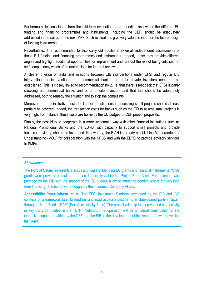Furthermore, lessons learnt from the mid-term evaluations and spending reviews of the different EU funding and financing programmes and instruments, including the CEF, should be adequately addressed in the set-up of the next MFF. Such evaluations give very valuable input for the future design of funding instruments.

Nevertheless, it is recommended to also carry out additional external, independent assessments of those EU funding and financing programmes and instruments. Indeed, these may provide different angles and highlight additional opportunities for improvement and rule out the risk of being criticised for self-complacency which often materialises for internal reviews.

A clearer division of tasks and missions between EIB interventions under EFSI and regular EIB interventions or interventions from commercial banks and other private investors needs to be established. This is closely linked to recommendation no 2, i.e. that there is feedback that EFSI is partly crowding out commercial banks and other private investors and that this should be adequately addressed, both to remedy the situation and to stop the complaints.

Moreover, the administrative costs for financing institutions in assessing small projects should at least partially be covered. Indeed, the transaction costs for banks such as the EIB to assess small projects is very high. For instance, these costs are borne by the EU budget for CEF project proposals.

Finally, the possibility to cooperate in a more systematic way with other financial institutions such as National Promotional Banks and the EBRD, with capacity to support small projects and provide technical advisory, should be leveraged. Noteworthy, the EIAH is already establishing Memorandum of Understanding (MOU) for collaboration with the NPBS and with the EBRD to provide advisory services to SMEs.

### *Showcases:*

The **Port of Calais** represents a successful case of blending EU grants and financial instruments. While grants were provided to make the project financially viable, the Project Bond Credit Enhancement was provided by the EIB with the support of the EU budget, allowing attracting bond investors for very long term financing. The bonds were bought by the Insurance Company Allianz.

**Accessibility Ports Infrastructure**: The EFSI Investment Platform developed by the EIB and ICO consists of a framework loan to fund rail and road access investments in state-owned ports in Spain through a State Fund - "PAF" (Port Accessibility Fund). The project will help to improve land connectivity in key ports all located in the TEN-T Network. The operation will be a natural continuation of the extensive support provided by the CEF and the EIB to the development of this seaport network over the last years.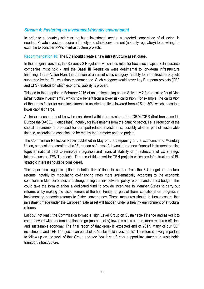### *Stream 4: Fostering an investment-friendly environment*

In order to adequately address the huge investment needs, a targeted cooperation of all actors is needed. Private investors require a friendly and stable environment (not only regulatory) to be willing for example to consider PPPs in infrastructure projects.

### **Recommendation 10: The EC should create a new infrastructure asset class.**

In their original versions, the Solvency 2 Regulation which sets rules for how much capital EU insurance companies must hold - and the Basel III Regulation were detrimental to long-term infrastructure financing. In the Action Plan, the creation of an asset class category, notably for infrastructure projects supported by the EU, was thus recommended. Such category would cover key European projects (CEF and EFSI-related) for which economic viability is proven.

This led to the adoption in February 2016 of an implementing act on Solvency 2 for so-called "qualifying infrastructure investments", which now benefit from a lower risk calibration. For example, the calibration of the stress factor for such investments in unlisted equity is lowered from 49% to 30% which leads to a lower capital charge.

A similar measure should now be considered within the revision of the CRD4/CRR (that transposed in Europe the BASEL III guidelines), notably for investments from the banking sector, i.e. a reduction of the capital requirements proposed for transport-related investments, possibly also as part of sustainable finance, according to conditions to be met by the promoter and the project.

The Commission Reflection Paper published in May on the deepening of the Economic and Monetary Union, suggests the creation of a "European safe asset". It would be a new financial instrument pooling together national debt to reinforce integration and financial stability of infrastructure of EU strategic interest such as TEN-T projects. The use of this asset for TEN projects which are infrastructure of EU strategic interest should be considered.

The paper also suggests options to better link of financial support from the EU budget to structural reforms, notably by modulating co-financing rates more systematically according to the economic conditions in Member States and strengthening the link between policy reforms and the EU budget. This could take the form of either a dedicated fund to provide incentives to Member States to carry out reforms or by making the disbursement of the ESI Funds, or part of them, conditional on progress in implementing concrete reforms to foster convergence. These measures should in turn reassure that investment made under the European safe asset will happen under a healthy environment of structural reforms.

Last but not least, the Commission formed a High Level Group on Sustainable Finance and asked it to come forward with recommendations to go (more quickly) towards a low carbon, more resource-efficient and sustainable economy. The final report of that group is expected end of 2017. Many of our CEF investments and TEN-T projects can be labelled 'sustainable investments'. Therefore it is very important to follow up on the work of that Group and see how it can further support investments in sustainable transport infrastructure.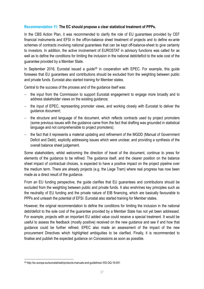### **Recommendation 11: The EC should propose a clear statistical treatment of PPPs.**

In the CBS Action Plan, it was recommended to clarify the role of EU guarantees provided by CEF financial instruments and EFSI in the off/on-balance sheet treatment of projects and to define ex-ante schemes of contracts involving national guarantees that can be kept off-balance-sheet to give certainty to investors. In addition, the active involvement of EUROSTAT in advisory functions was called for as well as to define the conditions for limiting the inclusion in the national debt/deficit to the sole cost of the guarantee provided by a Member State.

In September 2016, Eurostat issued a guide<sup>29</sup> in cooperation with EPEC. For example, this guide foresees that EU guarantees and contributions should be excluded from the weighting between public and private funds. Eurostat also started training for Member states.

Central to the success of the process and of the guidance itself was:

- − the input from the Commission to support Eurostat engagement to engage more broadly and to address stakeholder views on the existing guidance;
- − the input of EPEC, representing promoter views, and working closely with Eurostat to deliver the guidance document;
- − the structure and language of the document, which reflects contracts used by project promoters (some previous issues with the guidance came from the fact that drafting was grounded in statistical language and not comprehensible to project promoters);
- − the fact that it represents a material updating and refinement of the MGDD (Manual of Government Deficit and Debt), explicitly addressing issues which were unclear, and providing a synthesis of the overall balance sheet judgement.

Some stakeholders, whilst welcoming the direction of travel of the document, continue to press for elements of the guidance to be refined. The guidance itself, and the clearer position on the balance sheet impact of contractual choices, is expected to have a positive impact on the project pipeline over the medium term. There are already projects (e.g. the Liege Tram) where real progress has now been made as a direct result of the guidance.

From an EU funding perspective, the guide clarifies that EU guarantees and contributions should be excluded from the weighting between public and private funds. It also enshrines key principles such as the neutrality of EU funding and the private nature of EIB financing, which are basically favourable to PPPs and unleash the potential of EFSI. Eurostat also started training for Member states.

However, the original recommendation to define the conditions for limiting the inclusion in the national debt/deficit to the sole cost of the guarantee provided by a Member State has not yet been addressed. For example, projects with an important EU added value could receive a special treatment. It would be useful to assess the feedback (mostly positive) received on the new guidance and see if and how that guidance could be further refined. EPEC also made an assessment of the impact of the new procurement Directives which highlighted ambiguities to be clarified. Finally, it is recommended to finalise and publish the expected guidance on Concessions as soon as possible.

**.** 

<sup>29</sup> http://ec.europa.eu/eurostat/web/products-manuals-and-guidelines/-/KS-GQ-16-001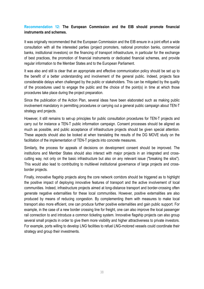### **Recommendation 12: The European Commission and the EIB should promote financial instruments and schemes.**

It was originally recommended that the European Commission and the EIB ensure in a joint effort a wide consultation with all the interested parties (project promoters, national promotion banks, commercial banks, institutional investors) on the financing of transport infrastructure, in particular for the exchange of best practices, the promotion of financial instruments or dedicated financial schemes, and provide regular information to the Member States and to the European Parliament.

It was also and still is clear that an appropriate and effective communication policy should be set up to the benefit of a better understanding and involvement of the general public. Indeed, projects face considerable delays when challenged by the public or stakeholders. This can be mitigated by the quality of the procedures used to engage the public and the choice of the point(s) in time at which those procedures take place during the project preparation.

Since the publication of the Action Plan, several ideas have been elaborated such as making public involvement mandatory in permitting procedures or carrying out a general public campaign about TEN-T strategy and projects.

However, it still remains to set-up principles for public consultation procedures for TEN-T projects and carry out for instance a TEN-T public information campaign. Consent processes should be aligned as much as possible, and public acceptance of infrastructure projects should be given special attention. These aspects should also be looked at when translating the results of the DG MOVE study on the facilitation of the implementation of TEN-T projects into concrete measures.

Similarly, the process for appeals of decisions on development consent should be improved. The institutions and Member States should also interact with major projects in an integrated and crosscutting way, not only on the basic infrastructure but also on any relevant issue ("breaking the silos"). This would also lead to contributing to multilevel institutional governance of large projects and crossborder projects.

Finally, innovative flagship projects along the core network corridors should be triggered as to highlight the positive impact of deploying innovative features of transport and the active involvement of local communities. Indeed, infrastructure projects aimed at long-distance transport and border-crossing often generate negative externalities for these local communities. However, positive externalities are also produced by means of reducing congestion. By complementing them with measures to make local transport also more efficient, one can produce further positive externalities and gain public support. For example, in the case of a new border crossing line for freight, one can also improve the local passenger rail connection to and introduce a common ticketing system. Innovative flagship projects can also group several small projects in order to give them more visibility and higher attractiveness to private investors. For example, ports willing to develop LNG facilities to refuel LNG-motored vessels could coordinate their strategy and group their investments.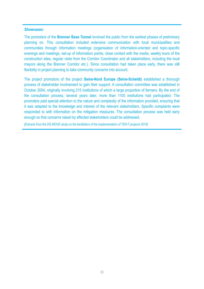### *Showcases:*

The promoters of the **Brenner Base Tunnel** involved the public from the earliest phases of preliminary planning on. This consultation included extensive communication with local municipalities and communities through information meetings (organisation of information-oriented and topic-specific evenings and meetings, set-up of information points, close contact with the media, weekly tours of the construction sites, regular visits from the Corridor Coordinator and all stakeholders, including the local mayors along the Brenner Corridor etc.). Since consultation had taken place early, there was still flexibility in project planning to take community concerns into account.

The project promotors of the project **Seine-Nord Europe (Seine-Scheldt)** established a thorough process of stakeholder involvement to gain their support. A consultation committee was established in October 2004, originally involving 215 institutions of which a large proportion of farmers. By the end of the consultation process, several years later, more than 1100 institutions had participated. The promoters paid special attention to the nature and complexity of the information provided, ensuring that it was adapted to the knowledge and interest of the relevant stakeholders. Specific complaints were responded to with information on the mitigation measures. The consultation process was held early enough so that concerns raised by affected stakeholders could be addressed.

*[Extracts from the DG MOVE study on the facilitation of the implementation of TEN-T projects 2016]*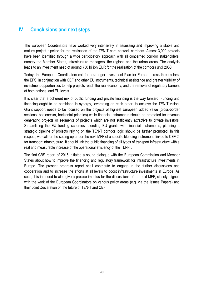### **IV. Conclusions and next steps**

The European Coordinators have worked very intensively in assessing and improving a stable and mature project pipeline for the realisation of the TEN-T core network corridors. Almost 3,000 projects have been identified through a wide participatory approach with all concerned corridor stakeholders, namely the Member States, infrastructure managers, the regions and the urban areas. The analysis leads to an investment need of around 750 billion EUR for the realisation of the corridors until 2030.

Today, the European Coordinators call for a stronger Investment Plan for Europe across three pillars: the EFSI in conjunction with CEF and other EU instruments, technical assistance and greater visibility of investment opportunities to help projects reach the real economy, and the removal of regulatory barriers at both national and EU levels.

It is clear that a coherent mix of public funding and private financing is the way forward. Funding and financing ought to be combined in synergy, leveraging on each other, to achieve the TEN-T vision. Grant support needs to be focused on the projects of highest European added value (cross-border sections, bottlenecks, horizontal priorities) while financial instruments should be promoted for revenue generating projects or segments of projects which are not sufficiently attractive to private investors. Streamlining the EU funding schemes, blending EU grants with financial instruments, planning a strategic pipeline of projects relying on the TEN-T corridor logic should be further promoted. In this respect, we call for the setting up under the next MFF of a specific blending instrument, linked to CEF 2, for transport infrastructure. It should link the public financing of all types of transport infrastructure with a real and measurable increase of the operational efficiency of the TEN-T.

The first CBS report of 2015 initiated a sound dialogue with the European Commission and Member States about how to improve the financing and regulatory framework for infrastructure investments in Europe. The present progress report shall contribute to engage in the further discussions and cooperation and to increase the efforts at all levels to boost infrastructure investments in Europe. As such, it is intended to also give a precise impetus for the discussions of the next MFF, closely aligned with the work of the European Coordinators on various policy areas (e.g. via the Issues Papers) and their Joint Declaration on the future of TEN-T and CEF.